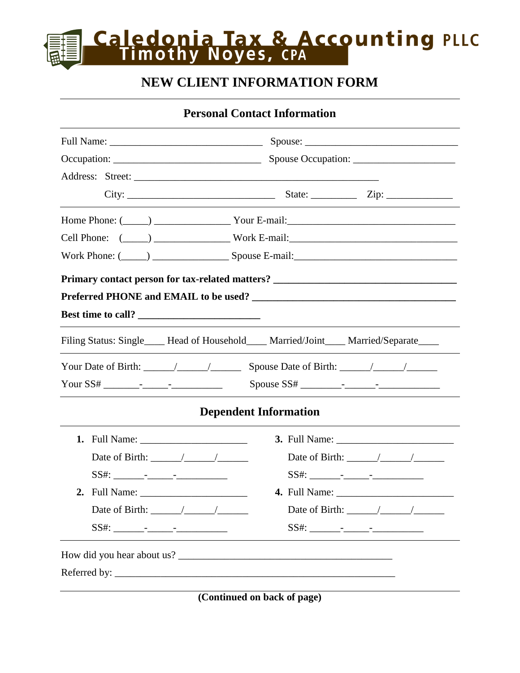## **Caledonia Tax & Accounting PLLC**<br>Timothy Noyes, CPA

### **NEW CLIENT INFORMATION FORM**

**Personal Contact Information**

| City:                               | State: $\frac{\text{Zip: } }{ \text{Up: } \text{Sup: } \text{Sup: } \text{Sup: } \text{Sup: } \text{Sup: } \text{Sup: } \text{Sup: } \text{Sup: } \text{Sup: } \text{Sup: } \text{Sup: } \text{Sup: } \text{Sup: } \text{Sup: } \text{Sup: } \text{Sup: } \text{Sup: } \text{Sup: } \text{Sup: } \text{Sup: } \text{Sup: } \text{Sup: } \text{Sup: } \text{Sup: } \text{Sup: } \text{Sup: } \text{Sup: } \text{Sup: } \text{Sup: } \text{Sup: } \text{Sup: } \text{Sup: } \text{Sup:$ |  |  |  |  |
|-------------------------------------|---------------------------------------------------------------------------------------------------------------------------------------------------------------------------------------------------------------------------------------------------------------------------------------------------------------------------------------------------------------------------------------------------------------------------------------------------------------------------------------|--|--|--|--|
|                                     |                                                                                                                                                                                                                                                                                                                                                                                                                                                                                       |  |  |  |  |
|                                     |                                                                                                                                                                                                                                                                                                                                                                                                                                                                                       |  |  |  |  |
|                                     |                                                                                                                                                                                                                                                                                                                                                                                                                                                                                       |  |  |  |  |
|                                     | Primary contact person for tax-related matters? _________________________________                                                                                                                                                                                                                                                                                                                                                                                                     |  |  |  |  |
|                                     |                                                                                                                                                                                                                                                                                                                                                                                                                                                                                       |  |  |  |  |
| Best time to call?                  |                                                                                                                                                                                                                                                                                                                                                                                                                                                                                       |  |  |  |  |
|                                     | Filing Status: Single____ Head of Household____ Married/Joint____ Married/Separate____                                                                                                                                                                                                                                                                                                                                                                                                |  |  |  |  |
|                                     |                                                                                                                                                                                                                                                                                                                                                                                                                                                                                       |  |  |  |  |
|                                     |                                                                                                                                                                                                                                                                                                                                                                                                                                                                                       |  |  |  |  |
| <b>Dependent Information</b>        |                                                                                                                                                                                                                                                                                                                                                                                                                                                                                       |  |  |  |  |
|                                     |                                                                                                                                                                                                                                                                                                                                                                                                                                                                                       |  |  |  |  |
|                                     |                                                                                                                                                                                                                                                                                                                                                                                                                                                                                       |  |  |  |  |
|                                     |                                                                                                                                                                                                                                                                                                                                                                                                                                                                                       |  |  |  |  |
|                                     |                                                                                                                                                                                                                                                                                                                                                                                                                                                                                       |  |  |  |  |
| Date of Birth: $\frac{\sqrt{2}}{2}$ | Date of Birth: $\frac{\sqrt{2}}{2}$                                                                                                                                                                                                                                                                                                                                                                                                                                                   |  |  |  |  |
|                                     |                                                                                                                                                                                                                                                                                                                                                                                                                                                                                       |  |  |  |  |
|                                     |                                                                                                                                                                                                                                                                                                                                                                                                                                                                                       |  |  |  |  |
|                                     |                                                                                                                                                                                                                                                                                                                                                                                                                                                                                       |  |  |  |  |

**(Continued on back of page)**